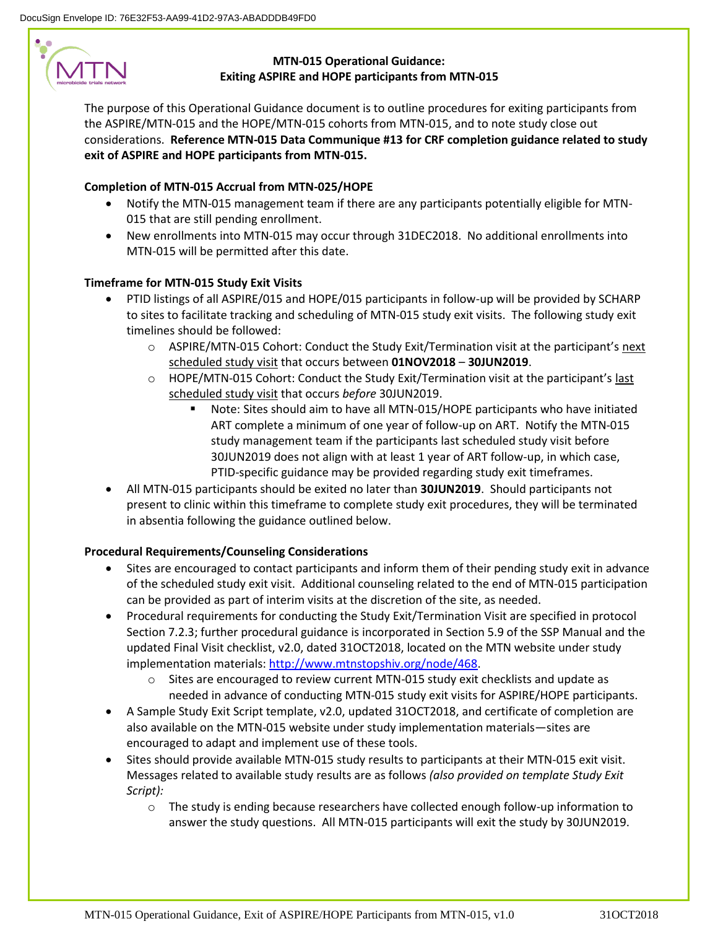# **MTN**

# **MTN-015 Operational Guidance: Exiting ASPIRE and HOPE participants from MTN-015**

The purpose of this Operational Guidance document is to outline procedures for exiting participants from the ASPIRE/MTN-015 and the HOPE/MTN-015 cohorts from MTN-015, and to note study close out considerations. **Reference MTN-015 Data Communique #13 for CRF completion guidance related to study exit of ASPIRE and HOPE participants from MTN-015.**

### **Completion of MTN-015 Accrual from MTN-025/HOPE**

- Notify the MTN-015 management team if there are any participants potentially eligible for MTN-015 that are still pending enrollment.
- New enrollments into MTN-015 may occur through 31DEC2018. No additional enrollments into MTN-015 will be permitted after this date.

## **Timeframe for MTN-015 Study Exit Visits**

- PTID listings of all ASPIRE/015 and HOPE/015 participants in follow-up will be provided by SCHARP to sites to facilitate tracking and scheduling of MTN-015 study exit visits. The following study exit timelines should be followed:
	- o ASPIRE/MTN-015 Cohort: Conduct the Study Exit/Termination visit at the participant's next scheduled study visit that occurs between **01NOV2018** – **30JUN2019**.
	- $\circ$  HOPE/MTN-015 Cohort: Conduct the Study Exit/Termination visit at the participant's last scheduled study visit that occurs *before* 30JUN2019.
		- Note: Sites should aim to have all MTN-015/HOPE participants who have initiated ART complete a minimum of one year of follow-up on ART. Notify the MTN-015 study management team if the participants last scheduled study visit before 30JUN2019 does not align with at least 1 year of ART follow-up, in which case, PTID-specific guidance may be provided regarding study exit timeframes.
- All MTN-015 participants should be exited no later than **30JUN2019**. Should participants not present to clinic within this timeframe to complete study exit procedures, they will be terminated in absentia following the guidance outlined below.

#### **Procedural Requirements/Counseling Considerations**

- Sites are encouraged to contact participants and inform them of their pending study exit in advance of the scheduled study exit visit. Additional counseling related to the end of MTN-015 participation can be provided as part of interim visits at the discretion of the site, as needed.
- Procedural requirements for conducting the Study Exit/Termination Visit are specified in protocol Section 7.2.3; further procedural guidance is incorporated in Section 5.9 of the SSP Manual and the updated Final Visit checklist, v2.0, dated 31OCT2018, located on the MTN website under study implementation materials: [http://www.mtnstopshiv.org/node/468.](http://www.mtnstopshiv.org/node/468)
	- $\circ$  Sites are encouraged to review current MTN-015 study exit checklists and update as needed in advance of conducting MTN-015 study exit visits for ASPIRE/HOPE participants.
- A Sample Study Exit Script template, v2.0, updated 31OCT2018, and certificate of completion are also available on the MTN-015 website under study implementation materials—sites are encouraged to adapt and implement use of these tools.
- Sites should provide available MTN-015 study results to participants at their MTN-015 exit visit. Messages related to available study results are as follows *(also provided on template Study Exit Script):*
	- o The study is ending because researchers have collected enough follow-up information to answer the study questions. All MTN-015 participants will exit the study by 30JUN2019.